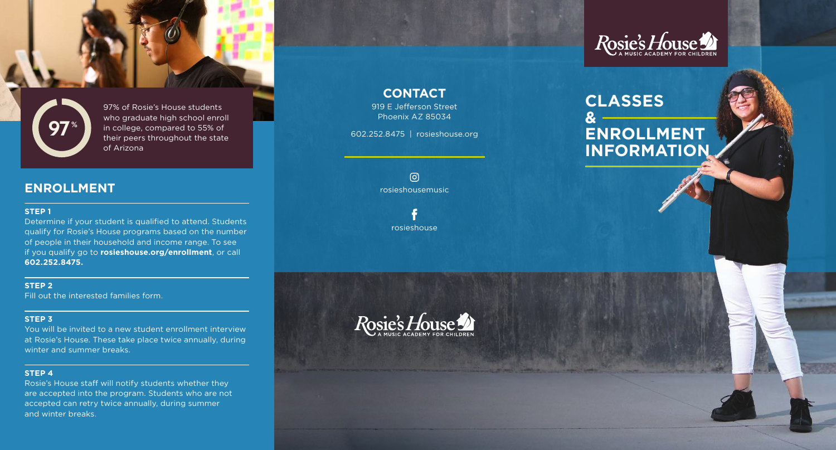



97% of Rosie's House students who graduate high school enroll in college, compared to 55% of their peers throughout the state of Arizona

### **ENROLLMENT**

### **STEP 1**

Determine if your student is qualified to attend. Students qualify for Rosie's House programs based on the number of people in their household and income range. To see if you qualify go to **rosieshouse.org/enrollment**, or call **602.252.8475.**

#### **STEP 2**

Fill out the interested families form.

#### **STEP 3**

You will be invited to a new student enrollment interview at Rosie's House. These take place twice annually, during winter and summer breaks.

### **STEP 4**

Rosie's House staff will notify students whether they are accepted into the program. Students who are not accepted can retry twice annually, during summer and winter breaks.

**CONTACT**

919 E Jefferson Street Phoenix AZ 85034

602.252.8475 | rosieshouse.org

 $\odot$ rosieshousemusic

rosieshouse



# **CLASSES & ENROLLMENT INFORMATION**